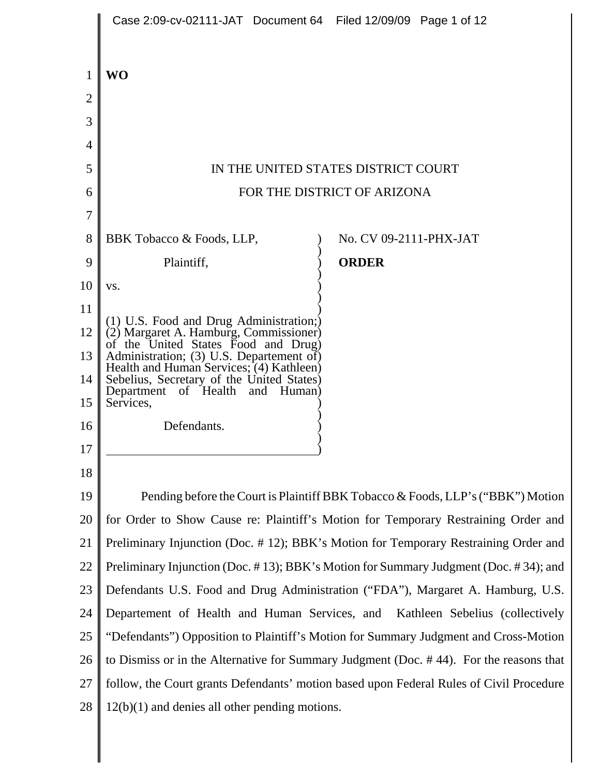|                | Case 2:09-cv-02111-JAT Document 64 Filed 12/09/09 Page 1 of 12                                                              |                                                                                         |
|----------------|-----------------------------------------------------------------------------------------------------------------------------|-----------------------------------------------------------------------------------------|
| 1              | <b>WO</b>                                                                                                                   |                                                                                         |
| $\overline{2}$ |                                                                                                                             |                                                                                         |
| 3              |                                                                                                                             |                                                                                         |
| 4              |                                                                                                                             |                                                                                         |
| 5              |                                                                                                                             | IN THE UNITED STATES DISTRICT COURT                                                     |
| 6              | FOR THE DISTRICT OF ARIZONA                                                                                                 |                                                                                         |
| 7              |                                                                                                                             |                                                                                         |
| 8              | BBK Tobacco & Foods, LLP,                                                                                                   | No. CV 09-2111-PHX-JAT                                                                  |
| 9              | Plaintiff,                                                                                                                  | <b>ORDER</b>                                                                            |
| 10             | VS.                                                                                                                         |                                                                                         |
| 11             | (1) U.S. Food and Drug Administration;)<br>(2) Margaret A. Hamburg, Commissioner)                                           |                                                                                         |
| 12             |                                                                                                                             |                                                                                         |
| 13             | of the United States Food and Drug)<br>Administration; (3) U.S. Departement of)                                             |                                                                                         |
| 14             | Health and Human Services; (4) Kathleen)<br>Sebelius, Secretary of the United States)<br>Department of Health and<br>Human) |                                                                                         |
| 15             | Services,                                                                                                                   |                                                                                         |
| 16             | Defendants.                                                                                                                 |                                                                                         |
| 17             |                                                                                                                             |                                                                                         |
| 18             |                                                                                                                             |                                                                                         |
| 19             |                                                                                                                             | Pending before the Court is Plaintiff BBK Tobacco & Foods, LLP's ("BBK") Motion         |
| 20             |                                                                                                                             | for Order to Show Cause re: Plaintiff's Motion for Temporary Restraining Order and      |
| 21             |                                                                                                                             | Preliminary Injunction (Doc. #12); BBK's Motion for Temporary Restraining Order and     |
| 22             |                                                                                                                             | Preliminary Injunction (Doc. #13); BBK's Motion for Summary Judgment (Doc. #34); and    |
| 23             |                                                                                                                             | Defendants U.S. Food and Drug Administration ("FDA"), Margaret A. Hamburg, U.S.         |
| 24             |                                                                                                                             | Departement of Health and Human Services, and Kathleen Sebelius (collectively           |
| 25             |                                                                                                                             | "Defendants") Opposition to Plaintiff's Motion for Summary Judgment and Cross-Motion    |
| 26             |                                                                                                                             | to Dismiss or in the Alternative for Summary Judgment (Doc. #44). For the reasons that  |
| 27             |                                                                                                                             | follow, the Court grants Defendants' motion based upon Federal Rules of Civil Procedure |
| 28             | $12(b)(1)$ and denies all other pending motions.                                                                            |                                                                                         |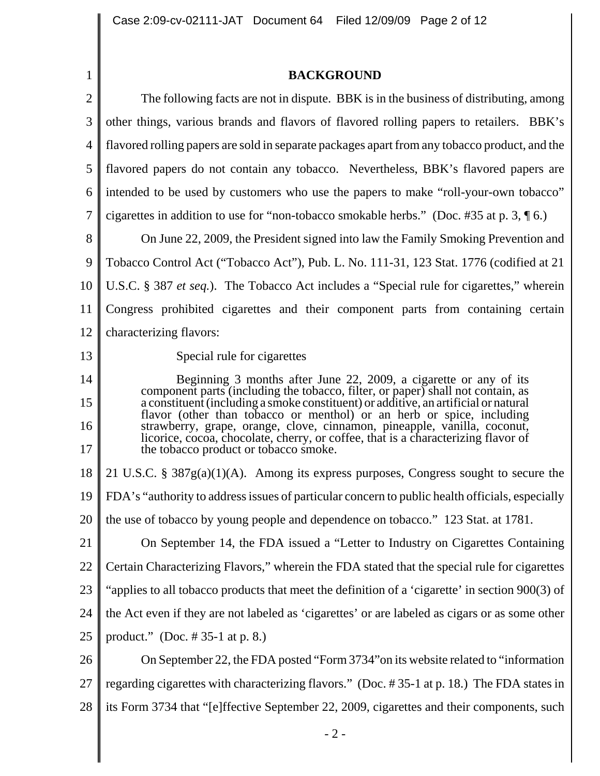**BACKGROUND**

|                | <b>BACKGROUND</b>                                                                                                                                                                                                                            |  |
|----------------|----------------------------------------------------------------------------------------------------------------------------------------------------------------------------------------------------------------------------------------------|--|
| $\overline{2}$ | The following facts are not in dispute. BBK is in the business of distributing, among                                                                                                                                                        |  |
| 3              | other things, various brands and flavors of flavored rolling papers to retailers. BBK's                                                                                                                                                      |  |
| 4              | flavored rolling papers are sold in separate packages apart from any tobacco product, and the                                                                                                                                                |  |
| 5              | flavored papers do not contain any tobacco. Nevertheless, BBK's flavored papers are                                                                                                                                                          |  |
| 6              | intended to be used by customers who use the papers to make "roll-your-own tobacco"                                                                                                                                                          |  |
| 7              | cigarettes in addition to use for "non-tobacco smokable herbs." (Doc. #35 at p. 3, $\lceil 6. \rceil$ )                                                                                                                                      |  |
| 8              | On June 22, 2009, the President signed into law the Family Smoking Prevention and                                                                                                                                                            |  |
| 9              | Tobacco Control Act ("Tobacco Act"), Pub. L. No. 111-31, 123 Stat. 1776 (codified at 21                                                                                                                                                      |  |
| 10             | U.S.C. § 387 et seq.). The Tobacco Act includes a "Special rule for cigarettes," wherein                                                                                                                                                     |  |
| 11             | Congress prohibited cigarettes and their component parts from containing certain                                                                                                                                                             |  |
| 12             | characterizing flavors:                                                                                                                                                                                                                      |  |
| 13             | Special rule for cigarettes                                                                                                                                                                                                                  |  |
| 14             | Beginning 3 months after June 22, 2009, a cigarette or any of its                                                                                                                                                                            |  |
| 15             | component parts (including the tobacco, filter, or paper) shall not contain, as a constituent (including a smoke constituent) or additive, an artificial or natural<br>flavor (other than tobacco or menthol) or an herb or spice, including |  |
| 16<br>17       | strawberry, grape, orange, clove, cinnamon, pineapple, vanilla, coconut,<br>licorice, cocoa, chocolate, cherry, or coffee, that is a characterizing flavor of<br>the tobacco product or tobacco smoke.                                       |  |
| 18             | 21 U.S.C. § $387g(a)(1)(A)$ . Among its express purposes, Congress sought to secure the                                                                                                                                                      |  |
| 19             | FDA's "authority to address issues of particular concern to public health officials, especially                                                                                                                                              |  |
| 20             | the use of tobacco by young people and dependence on tobacco." 123 Stat. at 1781.                                                                                                                                                            |  |
| 21             | On September 14, the FDA issued a "Letter to Industry on Cigarettes Containing                                                                                                                                                               |  |
| 22             | Certain Characterizing Flavors," wherein the FDA stated that the special rule for cigarettes                                                                                                                                                 |  |
| 23             | "applies to all tobacco products that meet the definition of a 'cigarette' in section 900(3) of                                                                                                                                              |  |
| 24             | the Act even if they are not labeled as 'cigarettes' or are labeled as cigars or as some other                                                                                                                                               |  |
| 25             | product." (Doc. $\# 35-1$ at p. 8.)                                                                                                                                                                                                          |  |
| 26             | On September 22, the FDA posted "Form 3734" on its website related to "information"                                                                                                                                                          |  |
| 27             | regarding cigarettes with characterizing flavors." (Doc. #35-1 at p. 18.) The FDA states in                                                                                                                                                  |  |
| 28             | its Form 3734 that "[e]ffective September 22, 2009, cigarettes and their components, such                                                                                                                                                    |  |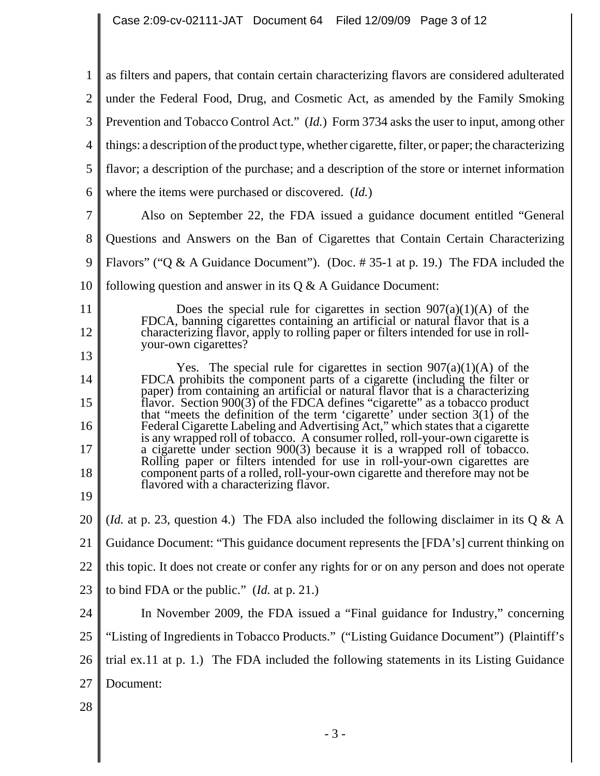1 2 3 4 5 6 7 8 9 10 11 12 13 14 15 16 17 18 19 20 21 22 23 24 25 26 27 28 as filters and papers, that contain certain characterizing flavors are considered adulterated under the Federal Food, Drug, and Cosmetic Act, as amended by the Family Smoking Prevention and Tobacco Control Act." (*Id.*) Form 3734 asks the user to input, among other things: a description of the product type, whether cigarette, filter, or paper; the characterizing flavor; a description of the purchase; and a description of the store or internet information where the items were purchased or discovered. (*Id.*) Also on September 22, the FDA issued a guidance document entitled "General Questions and Answers on the Ban of Cigarettes that Contain Certain Characterizing Flavors" ("Q & A Guidance Document"). (Doc. #35-1 at p. 19.) The FDA included the following question and answer in its  $Q \& A$  Guidance Document: Does the special rule for cigarettes in section  $907(a)(1)(A)$  of the FDCA, banning cigarettes containing an artificial or natural flavor that is a characterizing flavor, apply to rolling paper or filters intended for use in rollyour-own cigarettes? Yes. The special rule for cigarettes in section  $907(a)(1)(A)$  of the FDCA prohibits the component parts of a cigarette (including the filter or paper) from containing an artificial or natural flavor that is a characterizing flavor. Section 900(3) of the FDCA defines "cigarette" as a tobacco product that "meets the definition of the term 'cigarette' under section  $3(1)$  of the Federal Cigarette Labeling and Advertising Act," which states that a cigarette is any wrapped roll of tobacco. A consumer rolled, roll-your-own cigarette is a cigarette under section 900(3) because it is a wrapped roll of tobacco. Rolling paper or filters intended for use in roll-your-own cigarettes are component parts of a rolled, roll-your-own cigarette and therefore may not be flavored with a characterizing flavor. (*Id.* at p. 23, question 4.) The FDA also included the following disclaimer in its  $Q \& A$ Guidance Document: "This guidance document represents the [FDA's] current thinking on this topic. It does not create or confer any rights for or on any person and does not operate to bind FDA or the public." (*Id.* at p. 21.) In November 2009, the FDA issued a "Final guidance for Industry," concerning "Listing of Ingredients in Tobacco Products." ("Listing Guidance Document") (Plaintiff's trial ex.11 at p. 1.) The FDA included the following statements in its Listing Guidance Document: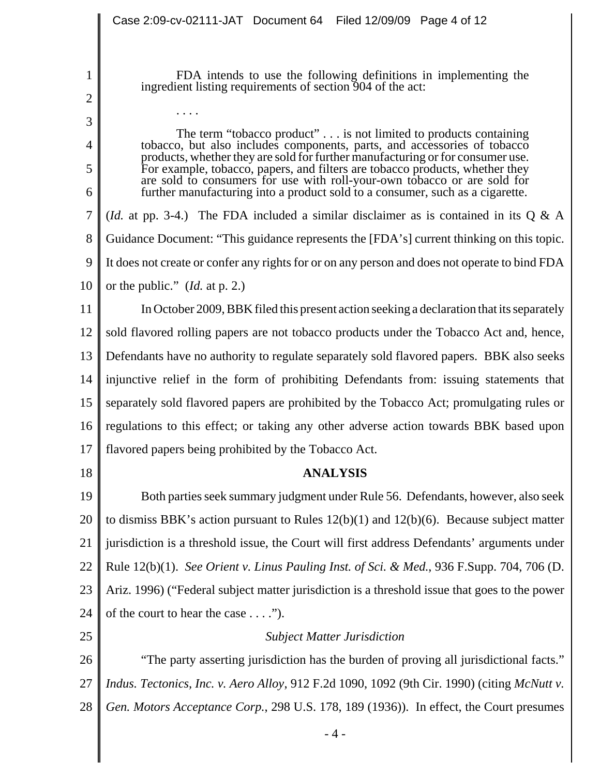FDA intends to use the following definitions in implementing the ingredient listing requirements of section 904 of the act:

The term "tobacco product" . . . is not limited to products containing tobacco, but also includes components, parts, and accessories of tobacco products, whether they are sold for further manufacturing or for consumer use. For example, tobacco, papers, and filters are tobacco products, whether they are sold to consumers for use with roll-your-own tobacco or are sold for further manufacturing into a product sold to a consumer, such as a cigarette.

7 8 9 10 (*Id.* at pp. 3-4.) The FDA included a similar disclaimer as is contained in its Q & A Guidance Document: "This guidance represents the [FDA's] current thinking on this topic. It does not create or confer any rights for or on any person and does not operate to bind FDA or the public." (*Id.* at p. 2.)

11 12 13 14 15 16 17 In October 2009, BBK filed this present action seeking a declaration that its separately sold flavored rolling papers are not tobacco products under the Tobacco Act and, hence, Defendants have no authority to regulate separately sold flavored papers. BBK also seeks injunctive relief in the form of prohibiting Defendants from: issuing statements that separately sold flavored papers are prohibited by the Tobacco Act; promulgating rules or regulations to this effect; or taking any other adverse action towards BBK based upon flavored papers being prohibited by the Tobacco Act.

18

1

2

3

. . . .

4

5

6

# **ANALYSIS**

19 20 21 22 23 24 Both parties seek summary judgment under Rule 56. Defendants, however, also seek to dismiss BBK's action pursuant to Rules  $12(b)(1)$  and  $12(b)(6)$ . Because subject matter jurisdiction is a threshold issue, the Court will first address Defendants' arguments under Rule 12(b)(1). *See Orient v. Linus Pauling Inst. of Sci. & Med.*, 936 F.Supp. 704, 706 (D. Ariz. 1996) ("Federal subject matter jurisdiction is a threshold issue that goes to the power of the court to hear the case . . . .").

25

## *Subject Matter Jurisdiction*

26 27 28 "The party asserting jurisdiction has the burden of proving all jurisdictional facts." *Indus. Tectonics, Inc. v. Aero Alloy*, 912 F.2d 1090, 1092 (9th Cir. 1990) (citing *McNutt v. Gen. Motors Acceptance Corp.*, 298 U.S. 178, 189 (1936)). In effect, the Court presumes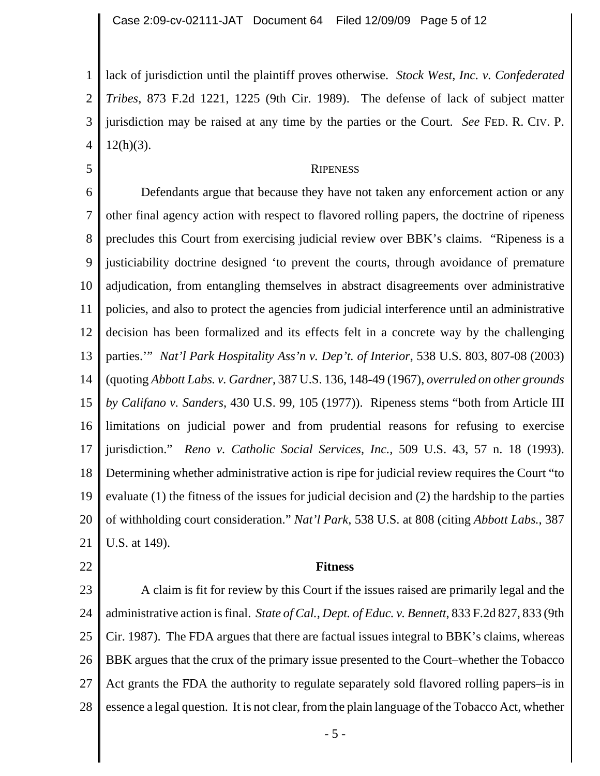1 2 3 4 lack of jurisdiction until the plaintiff proves otherwise. *Stock West, Inc. v. Confederated Tribes*, 873 F.2d 1221, 1225 (9th Cir. 1989). The defense of lack of subject matter jurisdiction may be raised at any time by the parties or the Court. *See* FED. R. CIV. P.  $12(h)(3)$ .

#### **RIPENESS**

6 7 8 9 10 11 12 13 14 15 16 17 18 19 20 21 Defendants argue that because they have not taken any enforcement action or any other final agency action with respect to flavored rolling papers, the doctrine of ripeness precludes this Court from exercising judicial review over BBK's claims. "Ripeness is a justiciability doctrine designed 'to prevent the courts, through avoidance of premature adjudication, from entangling themselves in abstract disagreements over administrative policies, and also to protect the agencies from judicial interference until an administrative decision has been formalized and its effects felt in a concrete way by the challenging parties.'" *Nat'l Park Hospitality Ass'n v. Dep't. of Interior*, 538 U.S. 803, 807-08 (2003) (quoting *Abbott Labs. v. Gardner,* 387 U.S. 136, 148-49 (1967), *overruled on other grounds by Califano v. Sanders*, 430 U.S. 99, 105 (1977)). Ripeness stems "both from Article III limitations on judicial power and from prudential reasons for refusing to exercise jurisdiction." *Reno v. Catholic Social Services, Inc.,* 509 U.S. 43, 57 n. 18 (1993). Determining whether administrative action is ripe for judicial review requires the Court "to evaluate (1) the fitness of the issues for judicial decision and (2) the hardship to the parties of withholding court consideration." *Nat'l Park*, 538 U.S. at 808 (citing *Abbott Labs.*, 387 U.S. at 149).

#### 22

5

### **Fitness**

23 24 25 26 27 28 A claim is fit for review by this Court if the issues raised are primarily legal and the administrative action is final. *State of Cal., Dept. of Educ. v. Bennett*, 833 F.2d 827, 833 (9th Cir. 1987). The FDA argues that there are factual issues integral to BBK's claims, whereas BBK argues that the crux of the primary issue presented to the Court–whether the Tobacco Act grants the FDA the authority to regulate separately sold flavored rolling papers–is in essence a legal question. It is not clear, from the plain language of the Tobacco Act, whether

- 5 -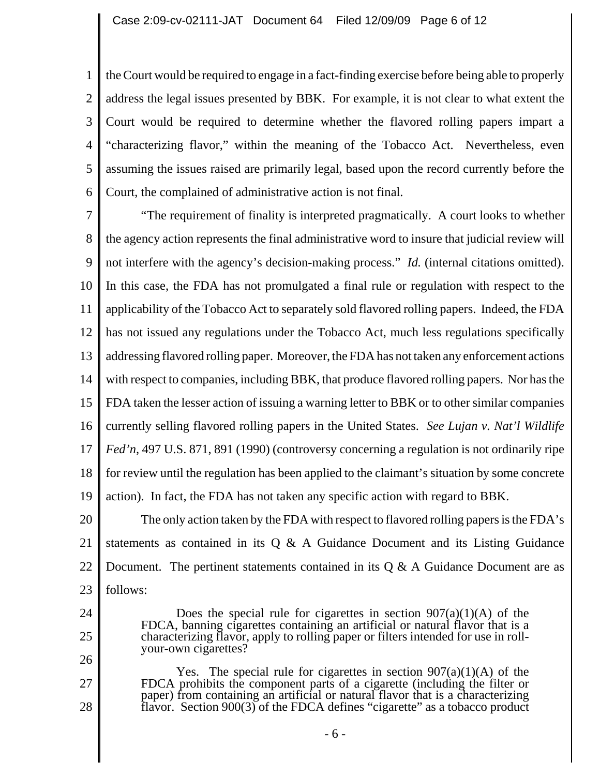1 2 3 4 5 6 the Court would be required to engage in a fact-finding exercise before being able to properly address the legal issues presented by BBK. For example, it is not clear to what extent the Court would be required to determine whether the flavored rolling papers impart a "characterizing flavor," within the meaning of the Tobacco Act. Nevertheless, even assuming the issues raised are primarily legal, based upon the record currently before the Court, the complained of administrative action is not final.

7 8 9 10 11 12 13 14 15 16 17 18 19 20 21 "The requirement of finality is interpreted pragmatically. A court looks to whether the agency action represents the final administrative word to insure that judicial review will not interfere with the agency's decision-making process." *Id.* (internal citations omitted). In this case, the FDA has not promulgated a final rule or regulation with respect to the applicability of the Tobacco Act to separately sold flavored rolling papers. Indeed, the FDA has not issued any regulations under the Tobacco Act, much less regulations specifically addressing flavored rolling paper. Moreover, the FDA has not taken any enforcement actions with respect to companies, including BBK, that produce flavored rolling papers. Nor has the FDA taken the lesser action of issuing a warning letter to BBK or to other similar companies currently selling flavored rolling papers in the United States. *See Lujan v. Nat'l Wildlife Fed'n,* 497 U.S. 871, 891 (1990) (controversy concerning a regulation is not ordinarily ripe for review until the regulation has been applied to the claimant's situation by some concrete action). In fact, the FDA has not taken any specific action with regard to BBK. The only action taken by the FDA with respect to flavored rolling papers is the FDA's statements as contained in its  $Q \& A$  Guidance Document and its Listing Guidance

22 23 Document. The pertinent statements contained in its  $Q & A$  Guidance Document are as follows:

24

25

26

27

28

- Does the special rule for cigarettes in section  $907(a)(1)(A)$  of the FDCA, banning cigarettes containing an artificial or natural flavor that is a characterizing flavor, apply to rolling paper or filters intended for use in rollyour-own cigarettes?
- Yes. The special rule for cigarettes in section  $907(a)(1)(A)$  of the FDCA prohibits the component parts of a cigarette (including the filter or paper) from containing an artificial or natural flavor that is a characterizing flavor. Section 900(3) of the FDCA defines "cigarette" as a tobacco product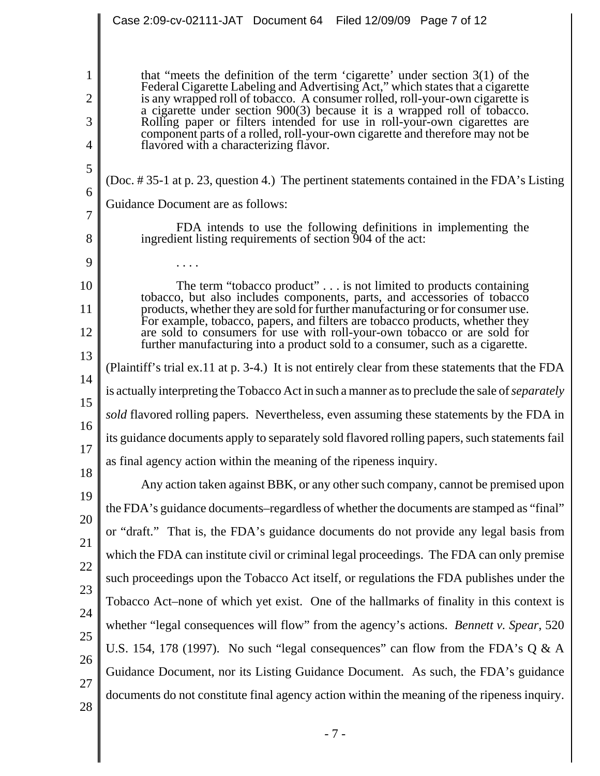|                                            | Case 2:09-cv-02111-JAT Document 64 Filed 12/09/09 Page 7 of 12                                                                                                                                                                                                                                                                                                                                                                                                                                                                         |
|--------------------------------------------|----------------------------------------------------------------------------------------------------------------------------------------------------------------------------------------------------------------------------------------------------------------------------------------------------------------------------------------------------------------------------------------------------------------------------------------------------------------------------------------------------------------------------------------|
| 1<br>$\overline{2}$<br>3<br>$\overline{4}$ | that "meets the definition of the term 'cigarette' under section $3(1)$ of the<br>Federal Cigarette Labeling and Advertising Act," which states that a cigarette<br>is any wrapped roll of tobacco. A consumer rolled, roll-your-own cigarette is<br>a cigarette under section 900(3) because it is a wrapped roll of tobacco.<br>Rolling paper or filters intended for use in roll-your-own cigarettes are<br>component parts of a rolled, roll-your-own cigarette and therefore may not be<br>flavored with a characterizing flavor. |
| 5<br>6                                     | (Doc. #35-1 at p. 23, question 4.) The pertinent statements contained in the FDA's Listing<br>Guidance Document are as follows:                                                                                                                                                                                                                                                                                                                                                                                                        |
| $\overline{7}$<br>8                        | FDA intends to use the following definitions in implementing the<br>ingredient listing requirements of section 904 of the act:                                                                                                                                                                                                                                                                                                                                                                                                         |
| 9                                          |                                                                                                                                                                                                                                                                                                                                                                                                                                                                                                                                        |
| 10                                         | The term "tobacco product" $\dots$ is not limited to products containing<br>tobacco, but also includes components, parts, and accessories of tobacco                                                                                                                                                                                                                                                                                                                                                                                   |
| 11                                         | products, whether they are sold for further manufacturing or for consumer use.<br>For example, tobacco, papers, and filters are tobacco products, whether they                                                                                                                                                                                                                                                                                                                                                                         |
| 12                                         | are sold to consumers for use with roll-your-own to bacco or are sold for<br>further manufacturing into a product sold to a consumer, such as a cigarette.                                                                                                                                                                                                                                                                                                                                                                             |
| 13                                         | (Plaintiff's trial ex.11 at p. 3-4.) It is not entirely clear from these statements that the FDA                                                                                                                                                                                                                                                                                                                                                                                                                                       |
| 14                                         | is actually interpreting the Tobacco Act in such a manner as to preclude the sale of <i>separately</i>                                                                                                                                                                                                                                                                                                                                                                                                                                 |
| 15                                         | sold flavored rolling papers. Nevertheless, even assuming these statements by the FDA in                                                                                                                                                                                                                                                                                                                                                                                                                                               |
| 16                                         | its guidance documents apply to separately sold flavored rolling papers, such statements fail                                                                                                                                                                                                                                                                                                                                                                                                                                          |
| 17                                         | as final agency action within the meaning of the ripeness inquiry.                                                                                                                                                                                                                                                                                                                                                                                                                                                                     |
| 18                                         | Any action taken against BBK, or any other such company, cannot be premised upon                                                                                                                                                                                                                                                                                                                                                                                                                                                       |
| 19                                         | the FDA's guidance documents–regardless of whether the documents are stamped as "final"                                                                                                                                                                                                                                                                                                                                                                                                                                                |
| 20<br>21                                   | or "draft." That is, the FDA's guidance documents do not provide any legal basis from                                                                                                                                                                                                                                                                                                                                                                                                                                                  |
| 22                                         | which the FDA can institute civil or criminal legal proceedings. The FDA can only premise                                                                                                                                                                                                                                                                                                                                                                                                                                              |
| 23                                         | such proceedings upon the Tobacco Act itself, or regulations the FDA publishes under the                                                                                                                                                                                                                                                                                                                                                                                                                                               |
| 24                                         | Tobacco Act-none of which yet exist. One of the hallmarks of finality in this context is                                                                                                                                                                                                                                                                                                                                                                                                                                               |
| 25                                         | whether "legal consequences will flow" from the agency's actions. <i>Bennett v. Spear</i> , 520                                                                                                                                                                                                                                                                                                                                                                                                                                        |
| 26                                         | U.S. 154, 178 (1997). No such "legal consequences" can flow from the FDA's Q & A                                                                                                                                                                                                                                                                                                                                                                                                                                                       |
| 27                                         | Guidance Document, nor its Listing Guidance Document. As such, the FDA's guidance                                                                                                                                                                                                                                                                                                                                                                                                                                                      |
| 28                                         | documents do not constitute final agency action within the meaning of the ripeness inquiry.                                                                                                                                                                                                                                                                                                                                                                                                                                            |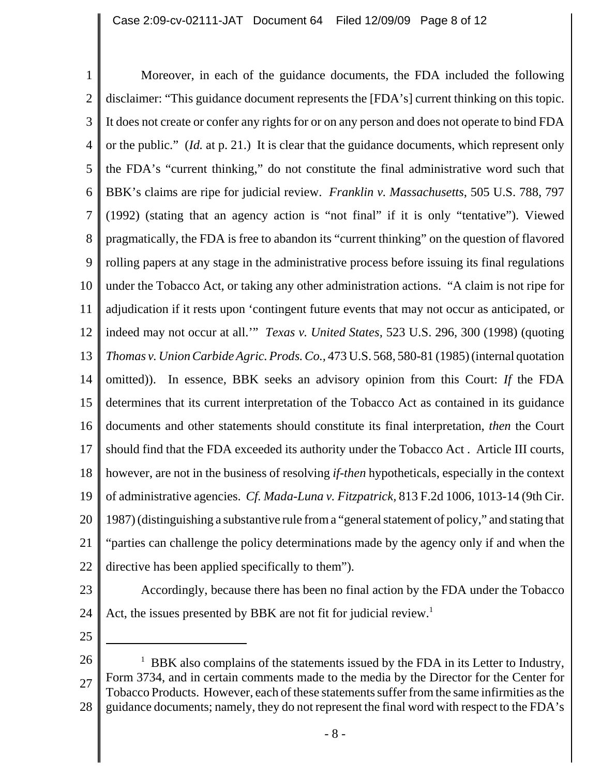1 2 3 4 5 6 7 8 9 10 11 12 13 14 15 16 17 18 19 20 21 22 Moreover, in each of the guidance documents, the FDA included the following disclaimer: "This guidance document represents the [FDA's] current thinking on this topic. It does not create or confer any rights for or on any person and does not operate to bind FDA or the public." (*Id.* at p. 21.) It is clear that the guidance documents, which represent only the FDA's "current thinking," do not constitute the final administrative word such that BBK's claims are ripe for judicial review. *Franklin v. Massachusetts*, 505 U.S. 788, 797 (1992) (stating that an agency action is "not final" if it is only "tentative"). Viewed pragmatically, the FDA is free to abandon its "current thinking" on the question of flavored rolling papers at any stage in the administrative process before issuing its final regulations under the Tobacco Act, or taking any other administration actions. "A claim is not ripe for adjudication if it rests upon 'contingent future events that may not occur as anticipated, or indeed may not occur at all.'" *Texas v. United States,* 523 U.S. 296, 300 (1998) (quoting *Thomas v. Union Carbide Agric. Prods. Co.,* 473 U.S. 568, 580-81 (1985) (internal quotation omitted)). In essence, BBK seeks an advisory opinion from this Court: *If* the FDA determines that its current interpretation of the Tobacco Act as contained in its guidance documents and other statements should constitute its final interpretation, *then* the Court should find that the FDA exceeded its authority under the Tobacco Act . Article III courts, however, are not in the business of resolving *if-then* hypotheticals, especially in the context of administrative agencies. *Cf. Mada-Luna v. Fitzpatrick,* 813 F.2d 1006, 1013-14 (9th Cir. 1987) (distinguishing a substantive rule from a "general statement of policy," and stating that "parties can challenge the policy determinations made by the agency only if and when the directive has been applied specifically to them").

23

Accordingly, because there has been no final action by the FDA under the Tobacco Act, the issues presented by BBK are not fit for judicial review.<sup>1</sup>

25

24

26 27 28 <sup>1</sup> BBK also complains of the statements issued by the FDA in its Letter to Industry, Form 3734, and in certain comments made to the media by the Director for the Center for Tobacco Products. However, each of these statements suffer from the same infirmities as the guidance documents; namely, they do not represent the final word with respect to the FDA's

- 8 -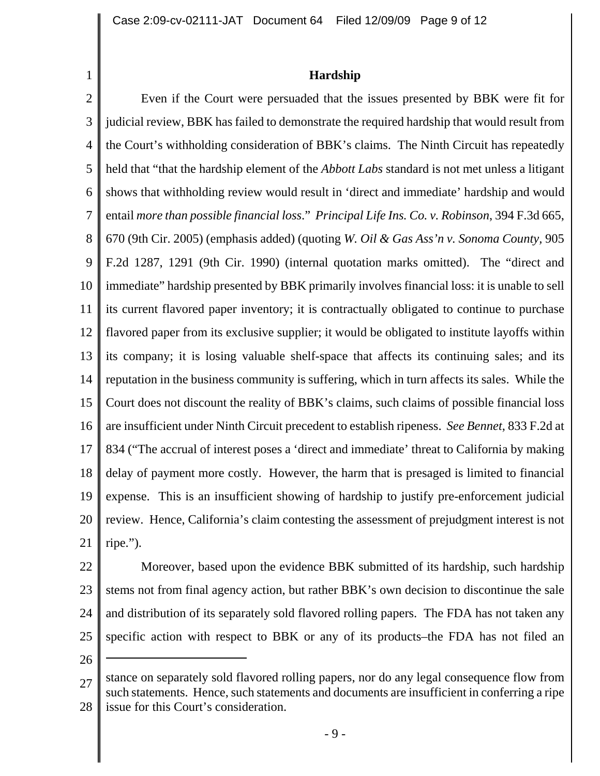1

## **Hardship**

2 3 4 5 6 7 8 9 10 11 12 13 14 15 16 17 18 19 20 21 Even if the Court were persuaded that the issues presented by BBK were fit for judicial review, BBK has failed to demonstrate the required hardship that would result from the Court's withholding consideration of BBK's claims. The Ninth Circuit has repeatedly held that "that the hardship element of the *Abbott Labs* standard is not met unless a litigant shows that withholding review would result in 'direct and immediate' hardship and would entail *more than possible financial loss*." *Principal Life Ins. Co. v. Robinson*, 394 F.3d 665, 670 (9th Cir. 2005) (emphasis added) (quoting *W. Oil & Gas Ass'n v. Sonoma County,* 905 F.2d 1287, 1291 (9th Cir. 1990) (internal quotation marks omitted). The "direct and immediate" hardship presented by BBK primarily involves financial loss: it is unable to sell its current flavored paper inventory; it is contractually obligated to continue to purchase flavored paper from its exclusive supplier; it would be obligated to institute layoffs within its company; it is losing valuable shelf-space that affects its continuing sales; and its reputation in the business community is suffering, which in turn affects its sales. While the Court does not discount the reality of BBK's claims, such claims of possible financial loss are insufficient under Ninth Circuit precedent to establish ripeness. *See Bennet*, 833 F.2d at 834 ("The accrual of interest poses a 'direct and immediate' threat to California by making delay of payment more costly. However, the harm that is presaged is limited to financial expense. This is an insufficient showing of hardship to justify pre-enforcement judicial review. Hence, California's claim contesting the assessment of prejudgment interest is not ripe.").

22 23 24 25 Moreover, based upon the evidence BBK submitted of its hardship, such hardship stems not from final agency action, but rather BBK's own decision to discontinue the sale and distribution of its separately sold flavored rolling papers. The FDA has not taken any specific action with respect to BBK or any of its products–the FDA has not filed an

26

<sup>27</sup> 28 stance on separately sold flavored rolling papers, nor do any legal consequence flow from such statements. Hence, such statements and documents are insufficient in conferring a ripe issue for this Court's consideration.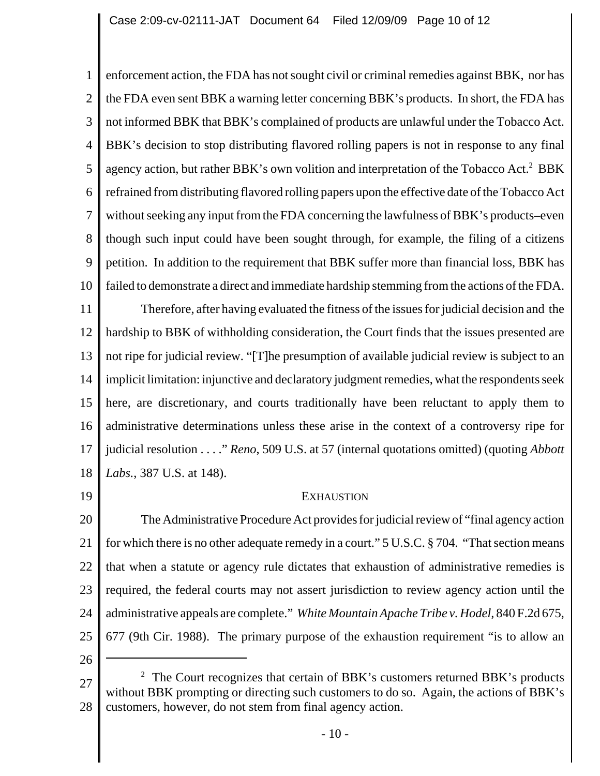1 2 3 4 5 6 7 8 9 10 11 12 13 14 15 16 enforcement action, the FDA has not sought civil or criminal remedies against BBK, nor has the FDA even sent BBK a warning letter concerning BBK's products. In short, the FDA has not informed BBK that BBK's complained of products are unlawful under the Tobacco Act. BBK's decision to stop distributing flavored rolling papers is not in response to any final agency action, but rather BBK's own volition and interpretation of the Tobacco Act.<sup>2</sup> BBK refrained from distributing flavored rolling papers upon the effective date of the Tobacco Act without seeking any input from the FDA concerning the lawfulness of BBK's products–even though such input could have been sought through, for example, the filing of a citizens petition. In addition to the requirement that BBK suffer more than financial loss, BBK has failed to demonstrate a direct and immediate hardship stemming from the actions of the FDA. Therefore, after having evaluated the fitness of the issues for judicial decision and the hardship to BBK of withholding consideration, the Court finds that the issues presented are not ripe for judicial review. "[T]he presumption of available judicial review is subject to an implicit limitation: injunctive and declaratory judgment remedies, what the respondents seek here, are discretionary, and courts traditionally have been reluctant to apply them to administrative determinations unless these arise in the context of a controversy ripe for

17 18 judicial resolution . . . ." *Reno*, 509 U.S. at 57 (internal quotations omitted) (quoting *Abbott Labs.*, 387 U.S. at 148).

19

### **EXHAUSTION**

20 21 22 23 24 25 The Administrative Procedure Act provides for judicial review of "final agency action for which there is no other adequate remedy in a court." 5 U.S.C. § 704. "That section means that when a statute or agency rule dictates that exhaustion of administrative remedies is required, the federal courts may not assert jurisdiction to review agency action until the administrative appeals are complete." *White Mountain Apache Tribe v. Hodel,* 840 F.2d 675, 677 (9th Cir. 1988). The primary purpose of the exhaustion requirement "is to allow an

26

<sup>27</sup> 28  $2$  The Court recognizes that certain of BBK's customers returned BBK's products without BBK prompting or directing such customers to do so. Again, the actions of BBK's customers, however, do not stem from final agency action.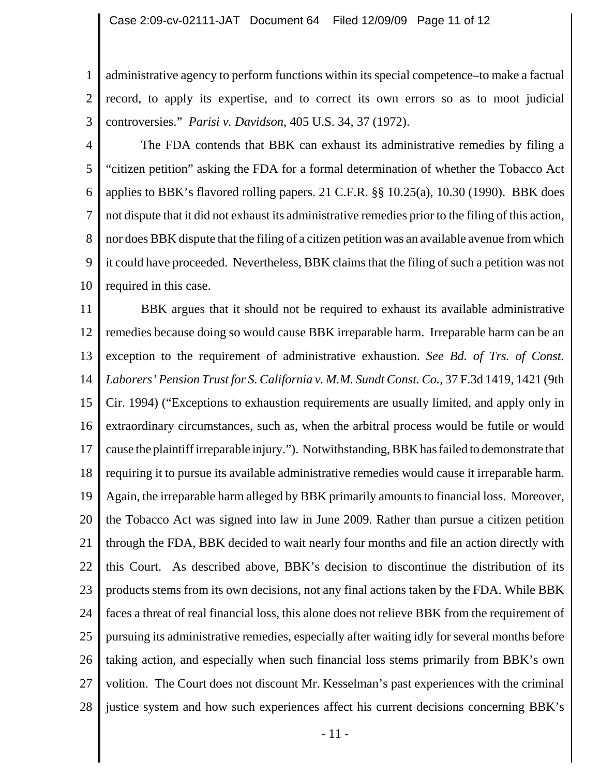1 2 3 administrative agency to perform functions within its special competence–to make a factual record, to apply its expertise, and to correct its own errors so as to moot judicial controversies." *Parisi v. Davidson*, 405 U.S. 34, 37 (1972).

4 5 6 7 8 9 10 The FDA contends that BBK can exhaust its administrative remedies by filing a "citizen petition" asking the FDA for a formal determination of whether the Tobacco Act applies to BBK's flavored rolling papers. 21 C.F.R. §§ 10.25(a), 10.30 (1990). BBK does not dispute that it did not exhaust its administrative remedies prior to the filing of this action, nor does BBK dispute that the filing of a citizen petition was an available avenue from which it could have proceeded. Nevertheless, BBK claims that the filing of such a petition was not required in this case.

11 12 13 14 15 16 17 18 19 20 21 22 23 24 25 26 27 28 BBK argues that it should not be required to exhaust its available administrative remedies because doing so would cause BBK irreparable harm. Irreparable harm can be an exception to the requirement of administrative exhaustion. *See Bd. of Trs. of Const. Laborers' Pension Trust for S. California v. M.M. Sundt Const. Co.,* 37 F.3d 1419, 1421 (9th Cir. 1994) ("Exceptions to exhaustion requirements are usually limited, and apply only in extraordinary circumstances, such as, when the arbitral process would be futile or would cause the plaintiff irreparable injury."). Notwithstanding, BBK has failed to demonstrate that requiring it to pursue its available administrative remedies would cause it irreparable harm. Again, the irreparable harm alleged by BBK primarily amounts to financial loss. Moreover, the Tobacco Act was signed into law in June 2009. Rather than pursue a citizen petition through the FDA, BBK decided to wait nearly four months and file an action directly with this Court. As described above, BBK's decision to discontinue the distribution of its products stems from its own decisions, not any final actions taken by the FDA. While BBK faces a threat of real financial loss, this alone does not relieve BBK from the requirement of pursuing its administrative remedies, especially after waiting idly for several months before taking action, and especially when such financial loss stems primarily from BBK's own volition. The Court does not discount Mr. Kesselman's past experiences with the criminal justice system and how such experiences affect his current decisions concerning BBK's